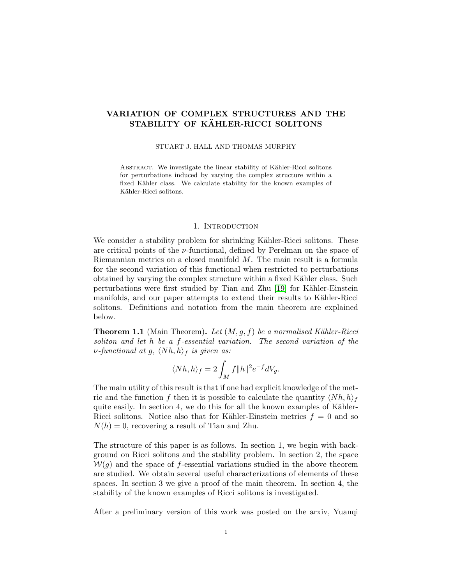# VARIATION OF COMPLEX STRUCTURES AND THE STABILITY OF KÄHLER-RICCI SOLITONS

#### STUART J. HALL AND THOMAS MURPHY

ABSTRACT. We investigate the linear stability of Kähler-Ricci solitons for perturbations induced by varying the complex structure within a fixed Kähler class. We calculate stability for the known examples of Kähler-Ricci solitons.

# 1. INTRODUCTION

We consider a stability problem for shrinking Kähler-Ricci solitons. These are critical points of the  $\nu$ -functional, defined by Perelman on the space of Riemannian metrics on a closed manifold M. The main result is a formula for the second variation of this functional when restricted to perturbations obtained by varying the complex structure within a fixed Kähler class. Such perturbations were first studied by Tian and Zhu [\[19\]](#page-12-0) for Kähler-Einstein manifolds, and our paper attempts to extend their results to Kähler-Ricci solitons. Definitions and notation from the main theorem are explained below.

<span id="page-0-0"></span>**Theorem 1.1** (Main Theorem). Let  $(M, g, f)$  be a normalised Kähler-Ricci soliton and let h be a f-essential variation. The second variation of the *v*-functional at g,  $\langle Nh,h\rangle_f$  is given as:

$$
\langle Nh,h\rangle_f=2\int_Mf\|h\|^2e^{-f}dV_g.
$$

The main utility of this result is that if one had explicit knowledge of the metric and the function f then it is possible to calculate the quantity  $\langle Nh, h\rangle_f$ quite easily. In section 4, we do this for all the known examples of Kähler-Ricci solitons. Notice also that for Kähler-Einstein metrics  $f = 0$  and so  $N(h) = 0$ , recovering a result of Tian and Zhu.

The structure of this paper is as follows. In section 1, we begin with background on Ricci solitons and the stability problem. In section 2, the space  $W(g)$  and the space of f-essential variations studied in the above theorem are studied. We obtain several useful characterizations of elements of these spaces. In section 3 we give a proof of the main theorem. In section 4, the stability of the known examples of Ricci solitons is investigated.

After a preliminary version of this work was posted on the arxiv, Yuanqi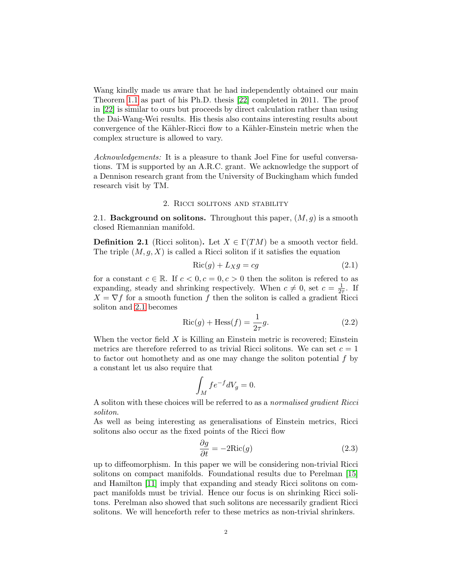Wang kindly made us aware that he had independently obtained our main Theorem [1.1](#page-0-0) as part of his Ph.D. thesis [\[22\]](#page-12-1) completed in 2011. The proof in [\[22\]](#page-12-1) is similar to ours but proceeds by direct calculation rather than using the Dai-Wang-Wei results. His thesis also contains interesting results about convergence of the Kähler-Ricci flow to a Kähler-Einstein metric when the complex structure is allowed to vary.

Acknowledgements: It is a pleasure to thank Joel Fine for useful conversations. TM is supported by an A.R.C. grant. We acknowledge the support of a Dennison research grant from the University of Buckingham which funded research visit by TM.

### 2. Ricci solitons and stability

2.1. **Background on solitons.** Throughout this paper,  $(M, g)$  is a smooth closed Riemannian manifold.

**Definition 2.1** (Ricci soliton). Let  $X \in \Gamma(TM)$  be a smooth vector field. The triple  $(M, g, X)$  is called a Ricci soliton if it satisfies the equation

<span id="page-1-0"></span>
$$
Ric(g) + L_X g = cg \tag{2.1}
$$

for a constant  $c \in \mathbb{R}$ . If  $c < 0, c = 0, c > 0$  then the soliton is refered to as expanding, steady and shrinking respectively. When  $c \neq 0$ , set  $c = \frac{1}{2c}$  $\frac{1}{2\tau}$ . If  $X = \nabla f$  for a smooth function f then the soliton is called a gradient Ricci soliton and [2.1](#page-1-0) becomes

$$
Ric(g) + Hess(f) = \frac{1}{2\tau}g.
$$
\n(2.2)

When the vector field  $X$  is Killing an Einstein metric is recovered; Einstein metrics are therefore referred to as trivial Ricci solitons. We can set  $c = 1$ to factor out homothety and as one may change the soliton potential f by a constant let us also require that

$$
\int_M f e^{-f} dV_g = 0.
$$

A soliton with these choices will be referred to as a normalised gradient Ricci soliton.

As well as being interesting as generalisations of Einstein metrics, Ricci solitons also occur as the fixed points of the Ricci flow

<span id="page-1-1"></span>
$$
\frac{\partial g}{\partial t} = -2\text{Ric}(g) \tag{2.3}
$$

up to diffeomorphism. In this paper we will be considering non-trivial Ricci solitons on compact manifolds. Foundational results due to Perelman [\[15\]](#page-12-2) and Hamilton [\[11\]](#page-11-0) imply that expanding and steady Ricci solitons on compact manifolds must be trivial. Hence our focus is on shrinking Ricci solitons. Perelman also showed that such solitons are necessarily gradient Ricci solitons. We will henceforth refer to these metrics as non-trivial shrinkers.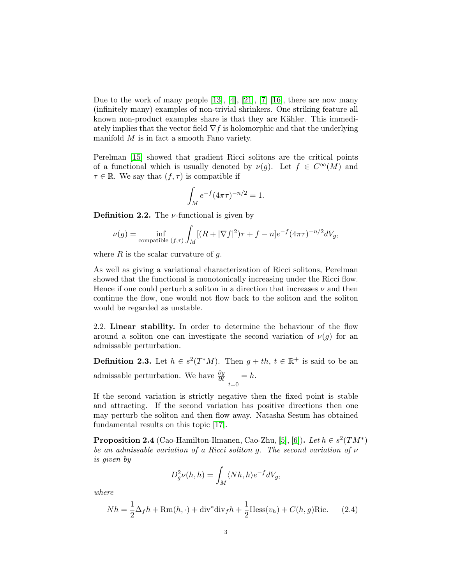Due to the work of many people  $[13]$ ,  $[4]$ ,  $[21]$ ,  $[7]$   $[16]$ , there are now many (infinitely many) examples of non-trivial shrinkers. One striking feature all known non-product examples share is that they are Kähler. This immediately implies that the vector field  $\nabla f$  is holomorphic and that the underlying manifold M is in fact a smooth Fano variety.

Perelman [\[15\]](#page-12-2) showed that gradient Ricci solitons are the critical points of a functional which is usually denoted by  $\nu(g)$ . Let  $f \in C^{\infty}(M)$  and  $\tau \in \mathbb{R}$ . We say that  $(f, \tau)$  is compatible if

$$
\int_M e^{-f} (4\pi\tau)^{-n/2} = 1.
$$

**Definition 2.2.** The  $\nu$ -functional is given by

$$
\nu(g) = \inf_{\text{compatible } (f,\tau)} \int_M [(R + |\nabla f|^2)\tau + f - n] e^{-f} (4\pi \tau)^{-n/2} dV_g,
$$

where  $R$  is the scalar curvature of  $q$ .

As well as giving a variational characterization of Ricci solitons, Perelman showed that the functional is monotonically increasing under the Ricci flow. Hence if one could perturb a soliton in a direction that increases  $\nu$  and then continue the flow, one would not flow back to the soliton and the soliton would be regarded as unstable.

2.2. Linear stability. In order to determine the behaviour of the flow around a soliton one can investigate the second variation of  $\nu(g)$  for an admissable perturbation.

**Definition 2.3.** Let  $h \in s^2(T^*M)$ . Then  $g + th$ ,  $t \in \mathbb{R}^+$  is said to be an admissable perturbation. We have  $\frac{\partial g}{\partial t}$  $\Big|_{t=0}$  $= h.$ 

If the second variation is strictly negative then the fixed point is stable and attracting. If the second variation has positive directions then one may perturb the soliton and then flow away. Natasha Sesum has obtained fundamental results on this topic [\[17\]](#page-12-5).

**Proposition 2.4** (Cao-Hamilton-Ilmanen, Cao-Zhu, [\[5\]](#page-11-4), [\[6\]](#page-11-5)). Let  $h \in s^2(TM^*)$ be an admissable variation of a Ricci soliton g. The second variation of  $\nu$ is given by

$$
D_g^2 \nu(h, h) = \int_M \langle Nh, h\rangle e^{-f} dV_g,
$$

where

$$
Nh = \frac{1}{2}\Delta_f h + \text{Rm}(h, \cdot) + \text{div}^* \text{div}_f h + \frac{1}{2} \text{Hess}(v_h) + C(h, g) \text{Ric.} \tag{2.4}
$$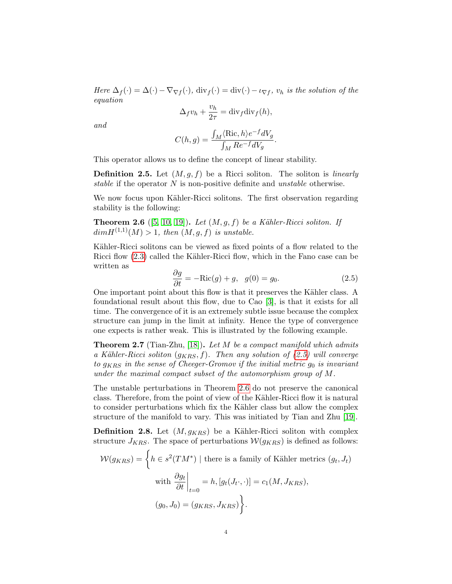Here  $\Delta_f(\cdot) = \Delta(\cdot) - \nabla_{\nabla f}(\cdot)$ ,  $\text{div}_f(\cdot) = \text{div}(\cdot) - \iota_{\nabla f}$ ,  $v_h$  is the solution of the equation

$$
\Delta_f v_h + \frac{v_h}{2\tau} = \text{div}_f \text{div}_f(h),
$$

and

$$
C(h,g) = \frac{\int_M \langle \text{Ric}, h \rangle e^{-f} dV_g}{\int_M Re^{-f} dV_g}.
$$

This operator allows us to define the concept of linear stability.

**Definition 2.5.** Let  $(M, g, f)$  be a Ricci soliton. The soliton is *linearly* stable if the operator  $N$  is non-positive definite and *unstable* otherwise.

We now focus upon Kähler-Ricci solitons. The first observation regarding stability is the following:

<span id="page-3-1"></span>**Theorem 2.6** ([\[5,](#page-11-4) [10,](#page-11-6) [19\]](#page-12-0)). Let  $(M, g, f)$  be a Kähler-Ricci soliton. If  $dim H^{(1,1)}(M) > 1$ , then  $(M, q, f)$  is unstable.

Kähler-Ricci solitons can be viewed as fixed points of a flow related to the Ricci flow  $(2.3)$  called the Kähler-Ricci flow, which in the Fano case can be written as

<span id="page-3-0"></span>
$$
\frac{\partial g}{\partial t} = -\text{Ric}(g) + g, \quad g(0) = g_0. \tag{2.5}
$$

One important point about this flow is that it preserves the Kähler class. A foundational result about this flow, due to Cao [\[3\]](#page-11-7), is that it exists for all time. The convergence of it is an extremely subtle issue because the complex structure can jump in the limit at infinity. Hence the type of convergence one expects is rather weak. This is illustrated by the following example.

**Theorem 2.7** (Tian-Zhu, [\[18\]](#page-12-6)). Let M be a compact manifold which admits a Kähler-Ricci soliton  $(g_{KRS}, f)$ . Then any solution of [\(2.5\)](#page-3-0) will converge to  $g_{KRS}$  in the sense of Cheeger-Gromov if the initial metric  $g_0$  is invariant under the maximal compact subset of the automorphism group of M.

The unstable perturbations in Theorem [2.6](#page-3-1) do not preserve the canonical class. Therefore, from the point of view of the Kähler-Ricci flow it is natural to consider perturbations which fix the Kähler class but allow the complex structure of the manifold to vary. This was initiated by Tian and Zhu [\[19\]](#page-12-0).

**Definition 2.8.** Let  $(M, g_{KRS})$  be a Kähler-Ricci soliton with complex structure  $J_{KRS}$ . The space of perturbations  $W(g_{KRS})$  is defined as follows:

$$
\mathcal{W}(g_{KRS}) = \left\{ h \in s^2(TM^*) \mid \text{there is a family of Kähler metrics } (g_t, J_t) \right\}
$$
  
with 
$$
\left. \frac{\partial g_t}{\partial t} \right|_{t=0} = h, [g_t(J_t \cdot, \cdot)] = c_1(M, J_{KRS}),
$$

$$
(g_0, J_0) = (g_{KRS}, J_{KRS}) \right\}.
$$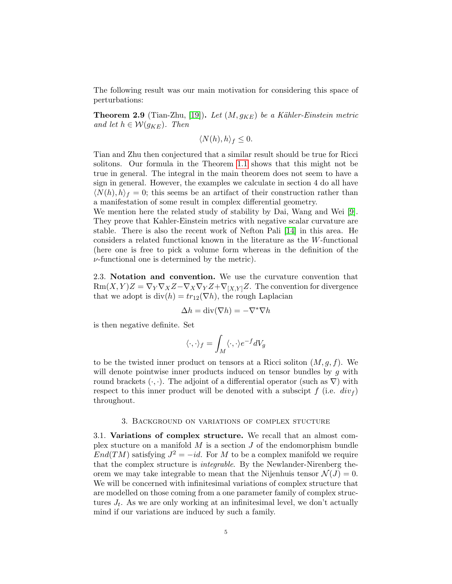The following result was our main motivation for considering this space of perturbations:

**Theorem 2.9** (Tian-Zhu, [\[19\]](#page-12-0)). Let  $(M, g_{KE})$  be a Kähler-Einstein metric and let  $h \in \mathcal{W}(g_{KE})$ . Then

$$
\langle N(h), h \rangle_f \le 0.
$$

Tian and Zhu then conjectured that a similar result should be true for Ricci solitons. Our formula in the Theorem [1.1](#page-0-0) shows that this might not be true in general. The integral in the main theorem does not seem to have a sign in general. However, the examples we calculate in section 4 do all have  $\langle N(h), h \rangle_f = 0$ ; this seems be an artifact of their construction rather than a manifestation of some result in complex differential geometry.

We mention here the related study of stability by Dai, Wang and Wei [\[9\]](#page-11-8). They prove that Kahler-Einstein metrics with negative scalar curvature are stable. There is also the recent work of Nefton Pali [\[14\]](#page-12-7) in this area. He considers a related functional known in the literature as the W-functional (here one is free to pick a volume form whereas in the definition of the  $\nu$ -functional one is determined by the metric).

2.3. Notation and convention. We use the curvature convention that  $\text{Rm}(X, Y)Z = \nabla_Y \nabla_X Z - \nabla_X \nabla_Y Z + \nabla_{[X, Y]} Z$ . The convention for divergence that we adopt is  $div(h) = tr_{12}(\nabla h)$ , the rough Laplacian

$$
\Delta h = \text{div}(\nabla h) = -\nabla^* \nabla h
$$

is then negative definite. Set

$$
\langle \cdot, \cdot \rangle_f = \int_M \langle \cdot, \cdot \rangle e^{-f} dV_g
$$

to be the twisted inner product on tensors at a Ricci soliton  $(M, g, f)$ . We will denote pointwise inner products induced on tensor bundles by  $g$  with round brackets  $(\cdot, \cdot)$ . The adjoint of a differential operator (such as  $\nabla$ ) with respect to this inner product will be denoted with a subscipt f (i.e.  $div_f$ ) throughout.

## 3. Background on variations of complex stucture

3.1. Variations of complex structure. We recall that an almost complex stucture on a manifold  $M$  is a section  $J$  of the endomorphism bundle  $End(TM)$  satisfying  $J^2 = -id$ . For M to be a complex manifold we require that the complex structure is integrable. By the Newlander-Nirenberg theorem we may take integrable to mean that the Nijenhuis tensor  $\mathcal{N}(J) = 0$ . We will be concerned with infinitesimal variations of complex structure that are modelled on those coming from a one parameter family of complex structures  $J_t$ . As we are only working at an infinitesimal level, we don't actually mind if our variations are induced by such a family.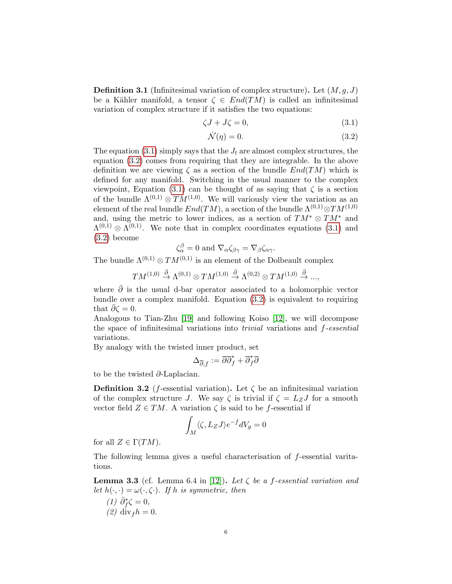**Definition 3.1** (Infinitesimal variation of complex structure). Let  $(M, q, J)$ be a Kähler manifold, a tensor  $\zeta \in End(TM)$  is called an infinitesimal variation of complex structure if it satisfies the two equations:

<span id="page-5-0"></span>
$$
\zeta J + J\zeta = 0,\tag{3.1}
$$

<span id="page-5-1"></span>
$$
\dot{\mathcal{N}}(\eta) = 0. \tag{3.2}
$$

The equation [\(3.1\)](#page-5-0) simply says that the  $J_t$  are almost complex structures, the equation [\(3.2\)](#page-5-1) comes from requiring that they are integrable. In the above definition we are viewing  $\zeta$  as a section of the bundle  $End(TM)$  which is defined for any manifold. Switching in the usual manner to the complex viewpoint, Equation [\(3.1\)](#page-5-0) can be thought of as saying that  $\zeta$  is a section of the bundle  $\Lambda^{(0,1)} \otimes TM^{(1,0)}$ . We will variously view the variation as an element of the real bundle  $End(TM)$ , a section of the bundle  $\Lambda^{(0,1)} \otimes TM^{(1,0)}$ and, using the metric to lower indices, as a section of  $TM^* \otimes TM^*$  and  $\Lambda^{(0,1)} \otimes \Lambda^{(0,1)}$ . We note that in complex coordinates equations [\(3.1\)](#page-5-0) and [\(3.2\)](#page-5-1) become

$$
\zeta_{\alpha}^{\beta} = 0 \text{ and } \nabla_{\alpha} \zeta_{\beta \gamma} = \nabla_{\beta} \zeta_{\alpha \gamma}.
$$

The bundle  $\Lambda^{(0,1)} \otimes TM^{(0,1)}$  is an element of the Dolbeault complex

$$
TM^{(1,0)}\overset{\bar{\partial}}{\rightarrow}\Lambda^{(0,1)}\otimes TM^{(1,0)}\overset{\bar{\partial}}{\rightarrow}\Lambda^{(0,2)}\otimes TM^{(1,0)}\overset{\bar{\partial}}{\rightarrow}...,
$$

where  $\overline{\partial}$  is the usual d-bar operator associated to a holomorphic vector bundle over a complex manifold. Equation [\(3.2\)](#page-5-1) is equivalent to requiring that  $\partial \zeta = 0$ .

Analogous to Tian-Zhu [\[19\]](#page-12-0) and following Koiso [\[12\]](#page-11-9), we will decompose the space of infinitesimal variations into trivial variations and f-essential variations.

By analogy with the twisted inner product, set

$$
\Delta_{\overline{\partial},f} := \overline{\partial} \overline{\partial}_f^* + \overline{\partial}_f^* \overline{\partial}
$$

to be the twisted ∂-Laplacian.

**Definition 3.2** (*f*-essential variation). Let  $\zeta$  be an infinitesimal variation of the complex structure J. We say  $\zeta$  is trivial if  $\zeta = L_Z J$  for a smooth vector field  $Z \in TM$ . A variation  $\zeta$  is said to be f-essential if

$$
\int_M \langle \zeta, L_Z J \rangle e^{-f} dV_g = 0
$$

for all  $Z \in \Gamma(TM)$ .

The following lemma gives a useful characterisation of f-essential varitations.

**Lemma 3.3** (cf. Lemma 6.4 in [\[12\]](#page-11-9)). Let  $\zeta$  be a f-essential variation and let  $h(\cdot, \cdot) = \omega(\cdot, \zeta)$ . If h is symmetric, then

(1) 
$$
\bar{\partial}_f^* \zeta = 0
$$
, (2)  $\text{div}_f h = 0$ .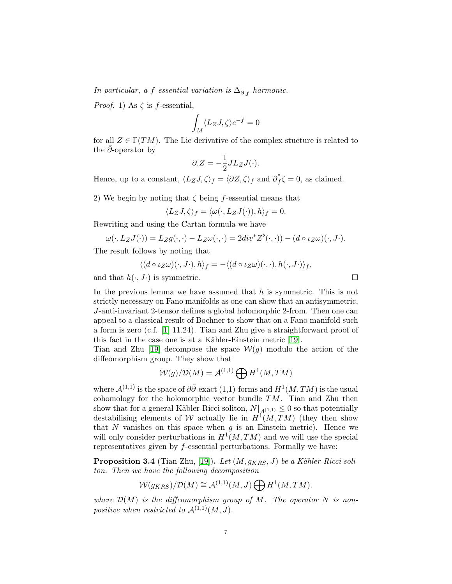In particular, a f-essential variation is  $\Delta_{\bar{\partial},f}$ -harmonic.

*Proof.* 1) As  $\zeta$  is f-essential,

$$
\int_M \langle L_Z J, \zeta \rangle e^{-f} = 0
$$

for all  $Z \in \Gamma(TM)$ . The Lie derivative of the complex stucture is related to the  $\partial$ -operator by

$$
\overline{\partial}Z = -\frac{1}{2}JL_ZJ(\cdot).
$$

Hence, up to a constant,  $\langle L_ZJ, \zeta \rangle_f = \langle \overline{\partial}Z, \zeta \rangle_f$  and  $\overline{\partial}_f^*$  $\int_{f}^{*} \zeta = 0$ , as claimed.

2) We begin by noting that  $\zeta$  being f-essential means that

$$
\langle L_Z J, \zeta \rangle_f = \langle \omega(\cdot, L_Z J(\cdot)), h \rangle_f = 0.
$$

Rewriting and using the Cartan formula we have

$$
\omega(\cdot, L_Z J(\cdot)) = L_Z g(\cdot, \cdot) - L_Z \omega(\cdot, \cdot) = 2div^* Z^{\flat}(\cdot, \cdot)) - (d \circ \iota_Z \omega)(\cdot, J \cdot).
$$

The result follows by noting that

$$
\langle (d \circ \iota_Z \omega)(\cdot, J \cdot), h \rangle_f = -\langle (d \circ \iota_Z \omega)(\cdot, \cdot), h(\cdot, J \cdot) \rangle_f,
$$

and that  $h(\cdot, J \cdot)$  is symmetric.

In the previous lemma we have assumed that  $h$  is symmetric. This is not strictly necessary on Fano manifolds as one can show that an antisymmetric, J-anti-invariant 2-tensor defines a global holomorphic 2-from. Then one can appeal to a classical result of Bochner to show that on a Fano manifold such a form is zero (c.f. [\[1\]](#page-11-10) 11.24). Tian and Zhu give a straightforward proof of this fact in the case one is at a Kähler-Einstein metric [\[19\]](#page-12-0).

Tian and Zhu [\[19\]](#page-12-0) decompose the space  $W(g)$  modulo the action of the diffeomorphism group. They show that

$$
W(g)/D(M) = A^{(1,1)} \bigoplus H^1(M, TM)
$$

where  $\mathcal{A}^{(1,1)}$  is the space of  $\partial \bar{\partial}$ -exact (1,1)-forms and  $H^1(M, TM)$  is the usual cohomology for the holomorphic vector bundle  $TM$ . Tian and Zhu then show that for a general Käbler-Ricci soliton,  $N|_{A^{(1,1)}} \leq 0$  so that potentially destabilising elements of W actually lie in  $H^1(M, TM)$  (they then show that N vanishes on this space when  $q$  is an Einstein metric). Hence we will only consider perturbations in  $H^1(M, TM)$  and we will use the special representatives given by  $f$ -essential perturbations. Formally we have:

**Proposition 3.4** (Tian-Zhu, [\[19\]](#page-12-0)). Let  $(M, g_{KRS}, J)$  be a Kähler-Ricci soliton. Then we have the following decomposition

$$
W(g_{KRS})/\mathcal{D}(M) \cong \mathcal{A}^{(1,1)}(M,J) \bigoplus H^1(M, TM).
$$

where  $\mathcal{D}(M)$  is the diffeomorphism group of M. The operator N is nonpositive when restricted to  $\mathcal{A}^{(1,1)}(M, J)$ .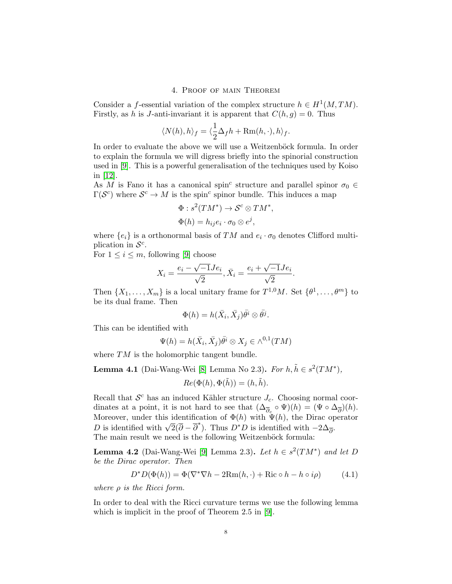# 4. Proof of main Theorem

Consider a *f*-essential variation of the complex structure  $h \in H^1(M, TM)$ . Firstly, as h is J-anti-invariant it is apparent that  $C(h, g) = 0$ . Thus

$$
\langle N(h), h \rangle_f = \langle \frac{1}{2} \Delta_f h + \text{Rm}(h, \cdot), h \rangle_f.
$$

In order to evaluate the above we will use a Weitzenböck formula. In order to explain the formula we will digress briefly into the spinorial construction used in [\[9\]](#page-11-8). This is a powerful generalisation of the techniques used by Koiso in [\[12\]](#page-11-9).

As M is Fano it has a canonical spin<sup>c</sup> structure and parallel spinor  $\sigma_0 \in$  $\Gamma(\mathcal{S}^c)$  where  $\mathcal{S}^c \to M$  is the spin<sup>c</sup> spinor bundle. This induces a map

$$
\Phi: s^2(TM^*) \to \mathcal{S}^c \otimes TM^*
$$
  

$$
\Phi(h) = h_{ij}e_i \cdot \sigma_0 \otimes e^j,
$$

,

where  $\{e_i\}$  is a orthonormal basis of TM and  $e_i \cdot \sigma_0$  denotes Clifford multiplication in  $\mathcal{S}^c$ .

For  $1 \leq i \leq m$ , following [\[9\]](#page-11-8) choose

$$
X_i = \frac{e_i - \sqrt{-1}Je_i}{\sqrt{2}}, \bar{X}_i = \frac{e_i + \sqrt{-1}Je_i}{\sqrt{2}}.
$$

Then  $\{X_1, \ldots, X_m\}$  is a local unitary frame for  $T^{1,0}M$ . Set  $\{\theta^1, \ldots, \theta^m\}$  to be its dual frame. Then

$$
\Phi(h) = h(\bar{X}_i, \bar{X}_j) \bar{\theta}^i \otimes \bar{\theta}^j.
$$

This can be identified with

$$
\Psi(h) = h(\bar{X}_i, \bar{X}_j) \bar{\theta}^i \otimes X_j \in \wedge^{0,1}(TM)
$$

where  $TM$  is the holomorphic tangent bundle.

<span id="page-7-0"></span>**Lemma 4.1** (Dai-Wang-Wei [\[8\]](#page-11-11) Lemma No 2.3). For  $h, \tilde{h} \in s^2(TM^*)$ ,

$$
Re(\Phi(h), \Phi(\tilde{h})) = (h, \tilde{h}).
$$

Recall that  $\mathcal{S}^c$  has an induced Kähler structure  $J_c$ . Choosing normal coordinates at a point, it is not hard to see that  $(\Delta_{\overline{\partial}_c} \circ \Psi)(h) = (\Psi \circ \Delta_{\overline{\partial}})(h)$ . Moreover, under this identification of  $\Phi(h)$  with  $\Psi(h)$ , the Dirac operator Moreover, under this identification of  $\Psi(n)$  with  $\Psi(n)$ , the Drac of D is identified with  $-2\Delta_{\overline{\partial}}$ . The main result we need is the following Weitzenböck formula:

<span id="page-7-1"></span>**Lemma 4.2** (Dai-Wang-Wei [\[9\]](#page-11-8) Lemma 2.3). Let  $h \in s^2(TM^*)$  and let D be the Dirac operator. Then

$$
D^*D(\Phi(h)) = \Phi(\nabla^*\nabla h - 2\text{Rm}(h, \cdot) + \text{Ric} \circ h - h \circ i\rho)
$$
 (4.1)

where  $\rho$  is the Ricci form.

In order to deal with the Ricci curvature terms we use the following lemma which is implicit in the proof of Theorem 2.5 in [\[9\]](#page-11-8).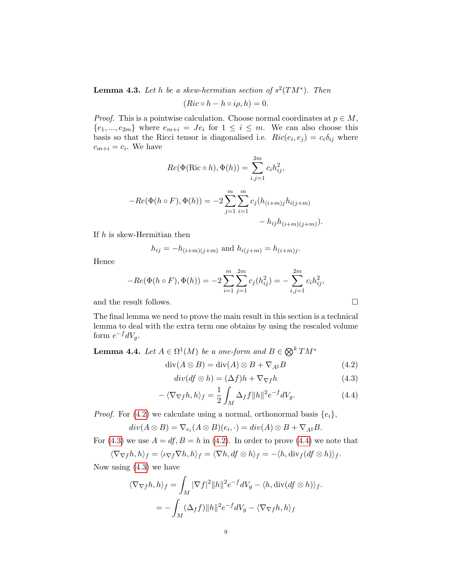**Lemma 4.3.** Let h be a skew-hermitian section of  $s^2(TM^*)$ . Then

$$
(Ric \circ h - h \circ i\rho, h) = 0.
$$

*Proof.* This is a pointwise calculation. Choose normal coordinates at  $p \in M$ ,  ${e_1, ..., e_{2m}}$  where  $e_{m+i} = Je_i$  for  $1 \leq i \leq m$ . We can also choose this basis so that the Ricci tensor is diagonalised i.e.  $Ric(e_i, e_j) = c_i \delta_{ij}$  where  $c_{m+i} = c_i$ . We have

$$
Re(\Phi(\text{Ric} \circ h), \Phi(h)) = \sum_{i,j=1}^{2m} c_i h_{ij}^2,
$$
  
-
$$
Re(\Phi(h \circ F), \Phi(h)) = -2 \sum_{j=1}^{m} \sum_{i=1}^{m} c_j (h_{(i+m)j} h_{i(j+m)}) - h_{ij} h_{(i+m)(j+m)}).
$$

If  $h$  is skew-Hermitian then

$$
h_{ij} = -h_{(i+m)(j+m)}
$$
 and  $h_{i(j+m)} = h_{(i+m)j}$ .

Hence

$$
-Re(\Phi(h \circ F), \Phi(h)) = -2\sum_{i=1}^{m} \sum_{j=1}^{2m} c_j(h_{ij}^2) = -\sum_{i,j=1}^{2m} c_i h_{ij}^2,
$$

and the result follows.  $\Box$ 

The final lemma we need to prove the main result in this section is a technical lemma to deal with the extra term one obtains by using the rescaled volume form  $e^{-f}dV_g$ .

**Lemma 4.4.** Let  $A \in \Omega^1(M)$  be a one-form and  $B \in \bigotimes^k TM^*$ 

<span id="page-8-0"></span>
$$
\operatorname{div}(A \otimes B) = \operatorname{div}(A) \otimes B + \nabla_{A^{\sharp}} B \tag{4.2}
$$

<span id="page-8-1"></span>
$$
div(df \otimes h) = (\Delta f)h + \nabla_{\nabla f}h \tag{4.3}
$$

<span id="page-8-2"></span>
$$
-\langle \nabla_{\nabla f} h, h \rangle_f = \frac{1}{2} \int_M \Delta_f f \|h\|^2 e^{-f} dV_g. \tag{4.4}
$$

*Proof.* For [\(4.2\)](#page-8-0) we calculate using a normal, orthonormal basis  $\{e_i\}$ ,

$$
div(A \otimes B) = \nabla_{e_i}(A \otimes B)(e_i, \cdot) = div(A) \otimes B + \nabla_{A^{\sharp}}B.
$$

For [\(4.3\)](#page-8-1) we use  $A = df$ ,  $B = h$  in [\(4.2\)](#page-8-0). In order to prove [\(4.4\)](#page-8-2) we note that

$$
\langle \nabla_{\nabla f} h, h \rangle_f = \langle \iota_{\nabla f} \nabla h, h \rangle_f = \langle \nabla h, df \otimes h \rangle_f = -\langle h, \text{div}_f (df \otimes h) \rangle_f.
$$

Now using [\(4.3\)](#page-8-1) we have

$$
\langle \nabla_{\nabla f} h, h \rangle_f = \int_M |\nabla f|^2 ||h||^2 e^{-f} dV_g - \langle h, \text{div}(df \otimes h) \rangle_f.
$$
  
= 
$$
- \int_M (\Delta_f f) ||h||^2 e^{-f} dV_g - \langle \nabla_{\nabla f} h, h \rangle_f
$$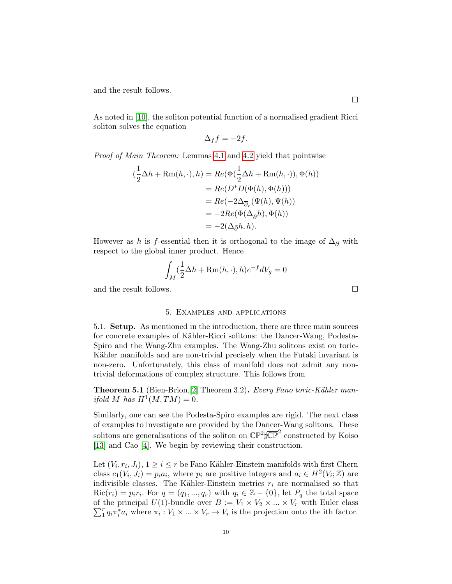and the result follows.

As noted in [\[10\]](#page-11-6), the soliton potential function of a normalised gradient Ricci soliton solves the equation

$$
\Delta_f f = -2f.
$$

Proof of Main Theorem: Lemmas [4.1](#page-7-0) and [4.2](#page-7-1) yield that pointwise

$$
(\frac{1}{2}\Delta h + \text{Rm}(h, \cdot), h) = Re(\Phi(\frac{1}{2}\Delta h + \text{Rm}(h, \cdot)), \Phi(h))
$$
  

$$
= Re(D^*D(\Phi(h), \Phi(h)))
$$
  

$$
= Re(-2\Delta_{\overline{\partial}_c}(\Psi(h), \Psi(h))
$$
  

$$
= -2Re(\Phi(\Delta_{\overline{\partial}}h), \Phi(h))
$$
  

$$
= -2(\Delta_{\overline{\partial}}h, h).
$$

However as h is f-essential then it is orthogonal to the image of  $\Delta_{\bar{\partial}}$  with respect to the global inner product. Hence

$$
\int_M (\frac{1}{2}\Delta h + \text{Rm}(h,\cdot), h)e^{-f}dV_g = 0
$$

and the result follows.  $\Box$ 

# 5. Examples and applications

5.1. Setup. As mentioned in the introduction, there are three main sources for concrete examples of Kähler-Ricci solitons: the Dancer-Wang, Podesta-Spiro and the Wang-Zhu examples. The Wang-Zhu solitons exist on toric-Kähler manifolds and are non-trivial precisely when the Futaki invariant is non-zero. Unfortunately, this class of manifold does not admit any nontrivial deformations of complex structure. This follows from

Theorem 5.1 (Bien-Brion,[\[2\]](#page-11-12) Theorem 3.2). Every Fano toric-Kähler manifold M has  $H^1(M, TM) = 0$ .

Similarly, one can see the Podesta-Spiro examples are rigid. The next class of examples to investigate are provided by the Dancer-Wang solitons. These solitons are generalisations of the soliton on  $\mathbb{CP}^2 \sharp \overline{\mathbb{CP}}^2$  constructed by Koiso [\[13\]](#page-11-1) and Cao [\[4\]](#page-11-2). We begin by reviewing their construction.

Let  $(V_i, r_i, J_i)$ ,  $1 \geq i \leq r$  be Fano Kähler-Einstein manifolds with first Chern class  $c_1(V_i, J_i) = p_i a_i$ , where  $p_i$  are positive integers and  $a_i \in H^2(V_i; \mathbb{Z})$  are indivisible classes. The Kähler-Einstein metrics  $r_i$  are normalised so that  $\text{Ric}(r_i) = p_i r_i$ . For  $q = (q_1, ..., q_r)$  with  $q_i \in \mathbb{Z} - \{0\}$ , let  $P_q$  the total space  $\sum_{1}^{r}$ of the principal  $U(1)$ -bundle over  $B := V_1 \times V_2 \times ... \times V_r$  with Euler class  $I_I^r q_i \pi_i^* a_i$  where  $\pi_i: V_1 \times \ldots \times V_r \to V_i$  is the projection onto the ith factor.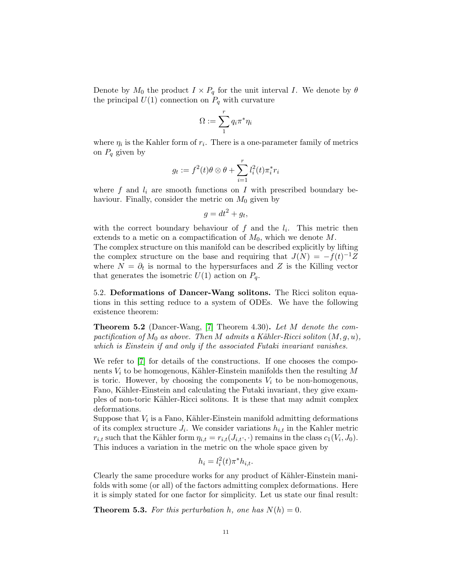Denote by  $M_0$  the product  $I \times P_q$  for the unit interval I. We denote by  $\theta$ the principal  $U(1)$  connection on  $P_q$  with curvature

$$
\Omega:=\sum_1^r q_i\pi^*\eta_i
$$

where  $\eta_i$  is the Kahler form of  $r_i$ . There is a one-parameter family of metrics on  $P_q$  given by

$$
g_t := f^2(t)\theta \otimes \theta + \sum_{i=1}^r l_i^2(t)\pi_i^* r_i
$$

where  $f$  and  $l_i$  are smooth functions on  $I$  with prescribed boundary behaviour. Finally, consider the metric on  $M_0$  given by

$$
g = dt^2 + g_t,
$$

with the correct boundary behaviour of  $f$  and the  $l_i$ . This metric then extends to a metic on a compactification of  $M_0$ , which we denote  $M$ .

The complex structure on this manifold can be described explicitly by lifting the complex structure on the base and requiring that  $J(N) = -f(t)^{-1}Z$ where  $N = \partial_t$  is normal to the hypersurfaces and Z is the Killing vector that generates the isometric  $U(1)$  action on  $P_q$ .

5.2. Deformations of Dancer-Wang solitons. The Ricci soliton equations in this setting reduce to a system of ODEs. We have the following existence theorem:

**Theorem 5.2** (Dancer-Wang, [\[7\]](#page-11-3) Theorem 4.30). Let M denote the compactification of  $M_0$  as above. Then M admits a Kähler-Ricci soliton  $(M, q, u)$ , which is Einstein if and only if the associated Futaki invariant vanishes.

We refer to [\[7\]](#page-11-3) for details of the constructions. If one chooses the components  $V_i$  to be homogenous, Kähler-Einstein manifolds then the resulting M is toric. However, by choosing the components  $V_i$  to be non-homogenous, Fano, Kähler-Einstein and calculating the Futaki invariant, they give examples of non-toric Kähler-Ricci solitons. It is these that may admit complex deformations.

Suppose that  $V_i$  is a Fano, Kähler-Einstein manifold admitting deformations of its complex structure  $J_i$ . We consider variations  $h_{i,t}$  in the Kahler metric  $r_{i,t}$  such that the Kähler form  $\eta_{i,t} = r_{i,t}(J_{i,t}, \cdot)$  remains in the class  $c_1(V_i, J_0)$ . This induces a variation in the metric on the whole space given by

$$
h_i = l_i^2(t)\pi^*h_{i,t}.
$$

Clearly the same procedure works for any product of Kähler-Einstein manifolds with some (or all) of the factors admitting complex deformations. Here it is simply stated for one factor for simplicity. Let us state our final result:

**Theorem 5.3.** For this perturbation h, one has  $N(h) = 0$ .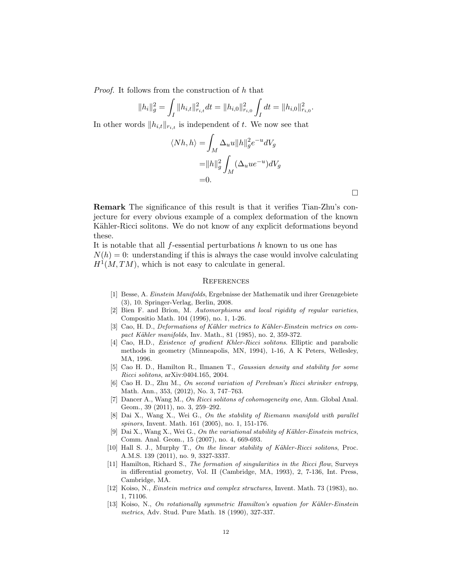Proof. It follows from the construction of h that

$$
||h_i||_g^2 = \int_I ||h_{i,t}||_{r_{i,t}}^2 dt = ||h_{i,0}||_{r_{i,0}}^2 \int_I dt = ||h_{i,0}||_{r_{i,0}}^2.
$$

In other words  $||h_{i,t}||_{r_{i,t}}$  is independent of t. We now see that

$$
\langle Nh, h\rangle = \int_M \Delta_u u ||h||_g^2 e^{-u} dV_g
$$
  
=  $||h||_g^2 \int_M (\Delta_u u e^{-u}) dV_g$   
= 0.

 $\Box$ 

Remark The significance of this result is that it verifies Tian-Zhu's conjecture for every obvious example of a complex deformation of the known Kähler-Ricci solitons. We do not know of any explicit deformations beyond these.

It is notable that all  $f$ -essential perturbations  $h$  known to us one has  $N(h) = 0$ : understanding if this is always the case would involve calculating  $H<sup>1</sup>(M, TM)$ , which is not easy to calculate in general.

#### **REFERENCES**

- <span id="page-11-10"></span>[1] Besse, A. Einstein Manifolds, Ergebnisse der Mathematik und ihrer Grenzgebiete (3), 10. Springer-Verlag, Berlin, 2008.
- <span id="page-11-12"></span>[2] Bien F. and Brion, M. Automorphisms and local rigidity of regular varieties, Compositio Math. 104 (1996), no. 1, 1-26.
- <span id="page-11-7"></span>[3] Cao, H. D., Deformations of Kähler metrics to Kähler-Einstein metrics on compact Kähler manifolds, Inv. Math., 81 (1985), no. 2, 359-372.
- <span id="page-11-2"></span>[4] Cao, H.D., Existence of gradient Khler-Ricci solitons. Elliptic and parabolic methods in geometry (Minneapolis, MN, 1994), 1-16, A K Peters, Wellesley, MA, 1996.
- <span id="page-11-4"></span>[5] Cao H. D., Hamilton R., Ilmanen T., Gaussian density and stability for some Ricci solitons, arXiv:0404.165, 2004.
- <span id="page-11-5"></span>[6] Cao H. D., Zhu M., On second variation of Perelman's Ricci shrinker entropy, Math. Ann., 353, (2012), No. 3, 747–763.
- <span id="page-11-3"></span>[7] Dancer A., Wang M., On Ricci solitons of cohomogeneity one, Ann. Global Anal. Geom., 39 (2011), no. 3, 259–292.
- <span id="page-11-11"></span>[8] Dai X., Wang X., Wei G., On the stability of Riemann manifold with parallel spinors, Invent. Math. 161 (2005), no. 1, 151-176.
- <span id="page-11-8"></span>[9] Dai X., Wang X., Wei G., On the variational stability of Kähler-Einstein metrics, Comm. Anal. Geom., 15 (2007), no. 4, 669-693.
- <span id="page-11-6"></span>[10] Hall S. J., Murphy T., On the linear stability of Kähler-Ricci solitons, Proc. A.M.S. 139 (2011), no. 9, 3327-3337.
- <span id="page-11-0"></span>[11] Hamilton, Richard S., The formation of singularities in the Ricci flow, Surveys in differential geometry, Vol. II (Cambridge, MA, 1993), 2, 7-136, Int. Press, Cambridge, MA.
- <span id="page-11-9"></span>[12] Koiso, N., Einstein metrics and complex structures, Invent. Math. 73 (1983), no. 1, 71106.
- <span id="page-11-1"></span>[13] Koiso, N., On rotationally symmetric Hamilton's equation for Kähler-Einstein metrics, Adv. Stud. Pure Math. 18 (1990), 327-337.